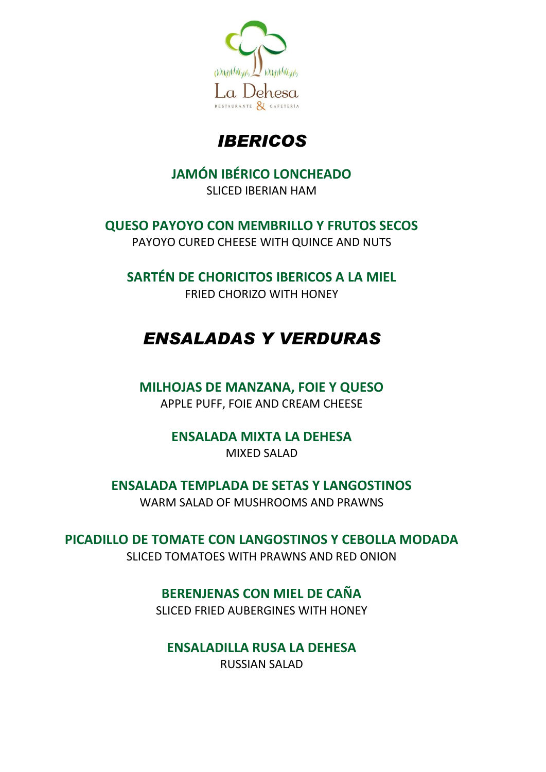

# *IBERICOS*

## **JAMÓN IBÉRICO LONCHEADO**

SLICED IBERIAN HAM

**QUESO PAYOYO CON MEMBRILLO Y FRUTOS SECOS**

PAYOYO CURED CHEESE WITH QUINCE AND NUTS

**SARTÉN DE CHORICITOS IBERICOS A LA MIEL** FRIED CHORIZO WITH HONEY

# *ENSALADAS Y VERDURAS*

## **MILHOJAS DE MANZANA, FOIE Y QUESO**

APPLE PUFF, FOIE AND CREAM CHEESE

#### **ENSALADA MIXTA LA DEHESA** MIXED SALAD

**ENSALADA TEMPLADA DE SETAS Y LANGOSTINOS**

WARM SALAD OF MUSHROOMS AND PRAWNS

**PICADILLO DE TOMATE CON LANGOSTINOS Y CEBOLLA MODADA** SLICED TOMATOES WITH PRAWNS AND RED ONION

## **BERENJENAS CON MIEL DE CAÑA**

SLICED FRIED AUBERGINES WITH HONEY

**ENSALADILLA RUSA LA DEHESA**

RUSSIAN SALAD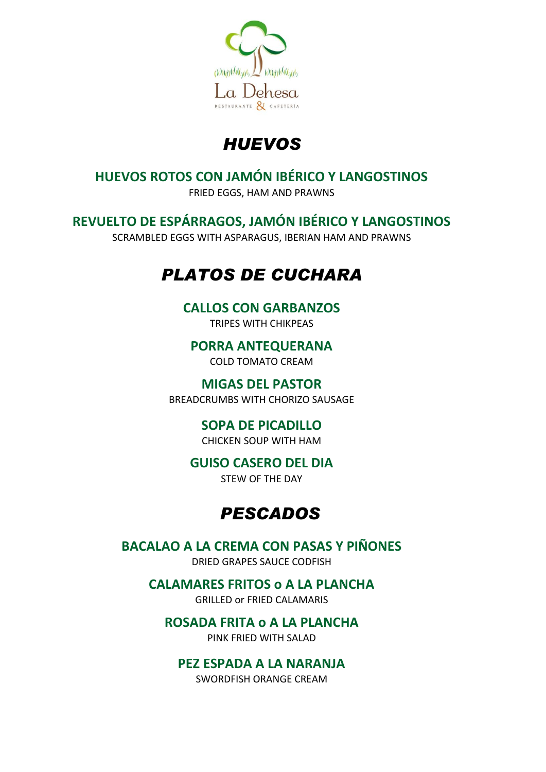

# *HUEVOS*

## **HUEVOS ROTOS CON JAMÓN IBÉRICO Y LANGOSTINOS**

FRIED EGGS, HAM AND PRAWNS

## **REVUELTO DE ESPÁRRAGOS, JAMÓN IBÉRICO Y LANGOSTINOS**

SCRAMBLED EGGS WITH ASPARAGUS, IBERIAN HAM AND PRAWNS

# *PLATOS DE CUCHARA*

## **CALLOS CON GARBANZOS**

TRIPES WITH CHIKPEAS

#### **PORRA ANTEQUERANA** COLD TOMATO CREAM

**MIGAS DEL PASTOR**

BREADCRUMBS WITH CHORIZO SAUSAGE

## **SOPA DE PICADILLO**

CHICKEN SOUP WITH HAM

## **GUISO CASERO DEL DIA**

STEW OF THE DAY

# *PESCADOS*

## **BACALAO A LA CREMA CON PASAS Y PIÑONES**

DRIED GRAPES SAUCE CODFISH

**CALAMARES FRITOS o A LA PLANCHA** GRILLED or FRIED CALAMARIS

## **ROSADA FRITA o A LA PLANCHA**

PINK FRIED WITH SALAD

## **PEZ ESPADA A LA NARANJA**

SWORDFISH ORANGE CREAM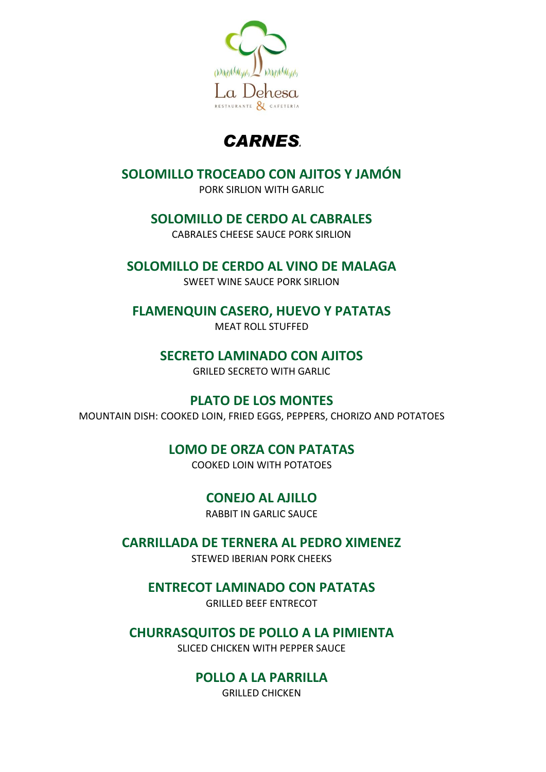

## *CARNES<sup>4</sup>*

## **SOLOMILLO TROCEADO CON AJITOS Y JAMÓN**

PORK SIRLION WITH GARLIC

#### **SOLOMILLO DE CERDO AL CABRALES**

CABRALES CHEESE SAUCE PORK SIRLION

#### **SOLOMILLO DE CERDO AL VINO DE MALAGA**

SWEET WINE SAUCE PORK SIRLION

#### **FLAMENQUIN CASERO, HUEVO Y PATATAS**

MEAT ROLL STUFFED

#### **SECRETO LAMINADO CON AJITOS**

GRILED SECRETO WITH GARLIC

#### **PLATO DE LOS MONTES**

MOUNTAIN DISH: COOKED LOIN, FRIED EGGS, PEPPERS, CHORIZO AND POTATOES

## **LOMO DE ORZA CON PATATAS**

COOKED LOIN WITH POTATOES

## **CONEJO AL AJILLO**

RABBIT IN GARLIC SAUCE

## **CARRILLADA DE TERNERA AL PEDRO XIMENEZ**

STEWED IBERIAN PORK CHEEKS

## **ENTRECOT LAMINADO CON PATATAS**

GRILLED BEEF ENTRECOT

## **CHURRASQUITOS DE POLLO A LA PIMIENTA**

SLICED CHICKEN WITH PEPPER SAUCE

## **POLLO A LA PARRILLA**

GRILLED CHICKEN